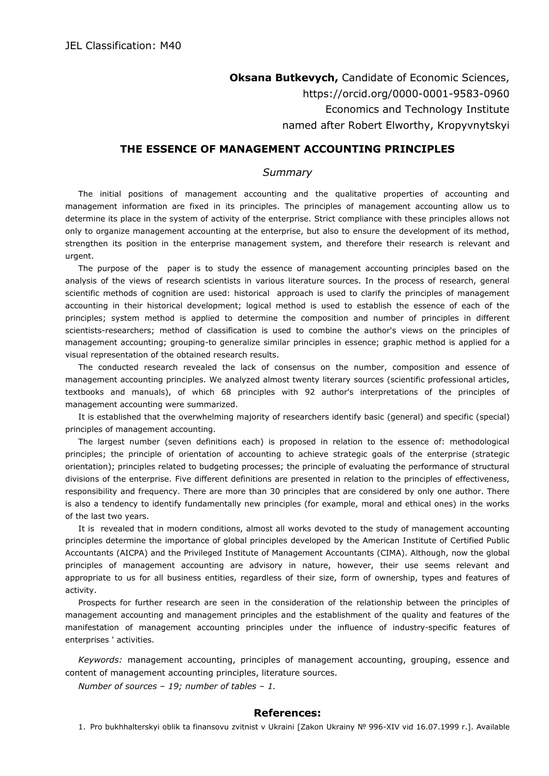**Oksana Butkevych,** Candidate of Economic Sciences, https://orcid.org/0000-0001-9583-0960 Economics and Technology Institute named after Robert Elworthy, Kropyvnytskyi

## **THE ESSENCE OF MANAGEMENT ACCOUNTING PRINCIPLES**

## *Summary*

The initial positions of management accounting and the qualitative properties of accounting and management information are fixed in its principles. The principles of management accounting allow us to determine its place in the system of activity of the enterprise. Strict compliance with these principles allows not only to organize management accounting at the enterprise, but also to ensure the development of its method, strengthen its position in the enterprise management system, and therefore their research is relevant and urgent.

The purpose of the paper is to study the essence of management accounting principles based on the analysis of the views of research scientists in various literature sources. In the process of research, general scientific methods of cognition are used: historical approach is used to clarify the principles of management accounting in their historical development; logical method is used to establish the essence of each of the principles; system method is applied to determine the composition and number of principles in different scientists-researchers; method of classification is used to combine the author's views on the principles of management accounting; grouping-to generalize similar principles in essence; graphic method is applied for a visual representation of the obtained research results.

The conducted research revealed the lack of consensus on the number, composition and essence of management accounting principles. We analyzed almost twenty literary sources (scientific professional articles, textbooks and manuals), of which 68 principles with 92 author's interpretations of the principles of management accounting were summarized.

It is established that the overwhelming majority of researchers identify basic (general) and specific (special) principles of management accounting.

The largest number (seven definitions each) is proposed in relation to the essence of: methodological principles; the principle of orientation of accounting to achieve strategic goals of the enterprise (strategic orientation); principles related to budgeting processes; the principle of evaluating the performance of structural divisions of the enterprise. Five different definitions are presented in relation to the principles of effectiveness, responsibility and frequency. There are more than 30 principles that are considered by only one author. There is also a tendency to identify fundamentally new principles (for example, moral and ethical ones) in the works of the last two years.

It is revealed that in modern conditions, almost all works devoted to the study of management accounting principles determine the importance of global principles developed by the American Institute of Certified Public Accountants (AICPA) and the Privileged Institute of Management Accountants (CIMA). Although, now the global principles of management accounting are advisory in nature, however, their use seems relevant and appropriate to us for all business entities, regardless of their size, form of ownership, types and features of activity.

Prospects for further research are seen in the consideration of the relationship between the principles of management accounting and management principles and the establishment of the quality and features of the manifestation of management accounting principles under the influence of industry-specific features of enterprises ' activities.

*Keywords:* management accounting, principles of management accounting, grouping, essence and content of management accounting principles, literature sources.

*Number of sources – 19; number of tables – 1.*

## **References:**

1. Pro bukhhalterskyi oblik ta finansovu zvitnist v Ukraini [Zakon Ukrainy № 996-XIV vid 16.07.1999 r.]. Available